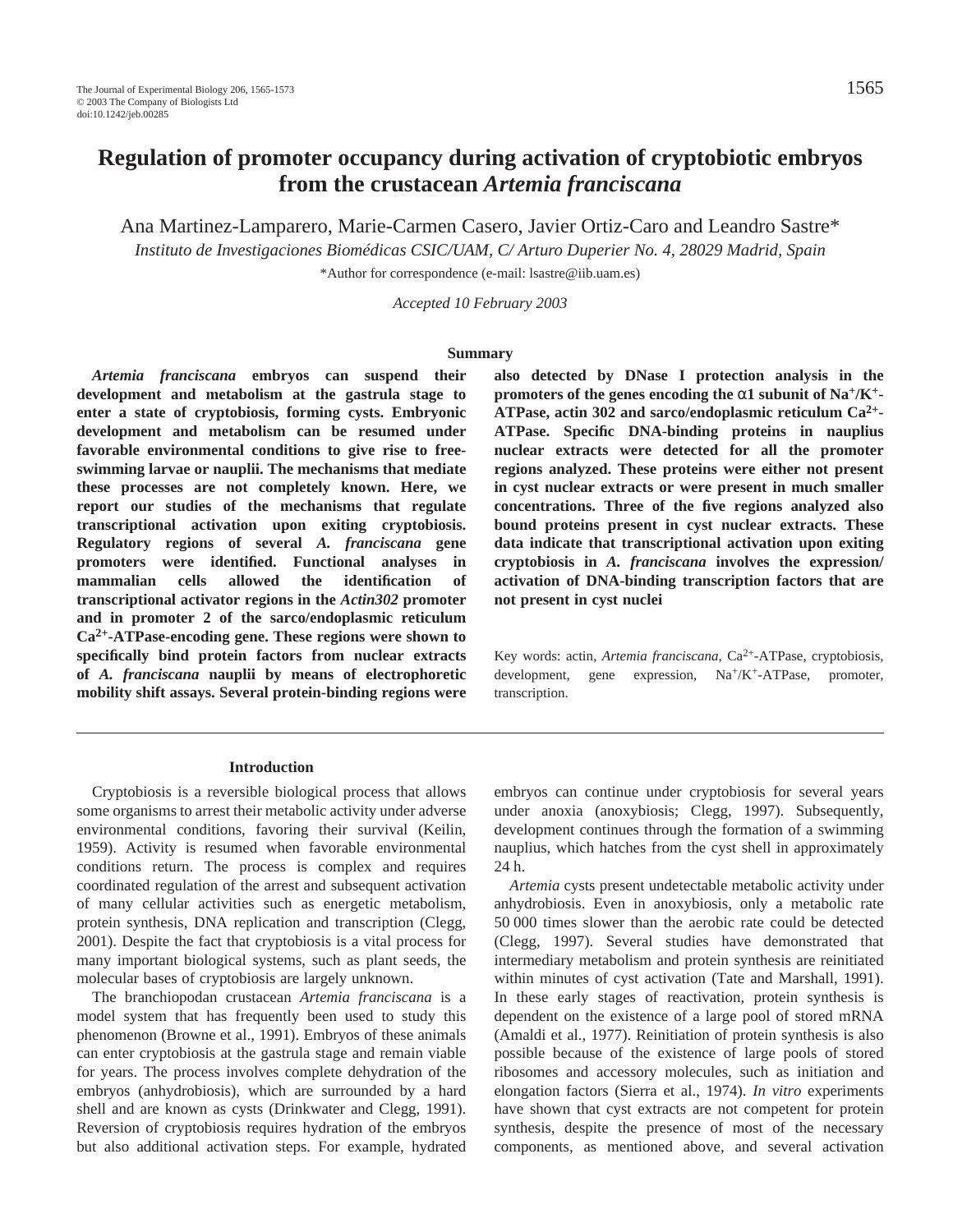Ana Martinez-Lamparero, Marie-Carmen Casero, Javier Ortiz-Caro and Leandro Sastre\*

*Instituto de Investigaciones Biomédicas CSIC/UAM, C/ Arturo Duperier No. 4, 28029 Madrid, Spain*

\*Author for correspondence (e-mail: lsastre@iib.uam.es)

*Accepted 10 February 2003*

#### **Summary**

*Artemia franciscana* **embryos can suspend their development and metabolism at the gastrula stage to enter a state of cryptobiosis, forming cysts. Embryonic development and metabolism can be resumed under favorable environmental conditions to give rise to freeswimming larvae or nauplii. The mechanisms that mediate these processes are not completely known. Here, we report our studies of the mechanisms that regulate transcriptional activation upon exiting cryptobiosis. Regulatory regions of several** *A. franciscana* **gene promoters were identified. Functional analyses in mammalian cells allowed the identification of transcriptional activator regions in the** *Actin302* **promoter and in promoter 2 of the sarco/endoplasmic reticulum Ca2+-ATPase-encoding gene. These regions were shown to specifically bind protein factors from nuclear extracts of** *A. franciscana* **nauplii by means of electrophoretic mobility shift assays. Several protein-binding regions were** **also detected by DNase I protection analysis in the promoters of the genes encoding the** α**1 subunit of Na+/K+- ATPase, actin 302 and sarco/endoplasmic reticulum Ca2+- ATPase. Specific DNA-binding proteins in nauplius nuclear extracts were detected for all the promoter regions analyzed. These proteins were either not present in cyst nuclear extracts or were present in much smaller concentrations. Three of the five regions analyzed also bound proteins present in cyst nuclear extracts. These data indicate that transcriptional activation upon exiting cryptobiosis in** *A. franciscana* **involves the expression/ activation of DNA-binding transcription factors that are not present in cyst nuclei**

Key words: actin, *Artemia franciscana*, Ca<sup>2+</sup>-ATPase, cryptobiosis, development, gene expression, Na<sup>+</sup>/K<sup>+</sup>-ATPase, promoter, transcription.

#### **Introduction**

Cryptobiosis is a reversible biological process that allows some organisms to arrest their metabolic activity under adverse environmental conditions, favoring their survival (Keilin, 1959). Activity is resumed when favorable environmental conditions return. The process is complex and requires coordinated regulation of the arrest and subsequent activation of many cellular activities such as energetic metabolism, protein synthesis, DNA replication and transcription (Clegg, 2001). Despite the fact that cryptobiosis is a vital process for many important biological systems, such as plant seeds, the molecular bases of cryptobiosis are largely unknown.

The branchiopodan crustacean *Artemia franciscana* is a model system that has frequently been used to study this phenomenon (Browne et al., 1991). Embryos of these animals can enter cryptobiosis at the gastrula stage and remain viable for years. The process involves complete dehydration of the embryos (anhydrobiosis), which are surrounded by a hard shell and are known as cysts (Drinkwater and Clegg, 1991). Reversion of cryptobiosis requires hydration of the embryos but also additional activation steps. For example, hydrated embryos can continue under cryptobiosis for several years under anoxia (anoxybiosis; Clegg, 1997). Subsequently, development continues through the formation of a swimming nauplius, which hatches from the cyst shell in approximately 24 h.

*Artemia* cysts present undetectable metabolic activity under anhydrobiosis. Even in anoxybiosis, only a metabolic rate 50 000 times slower than the aerobic rate could be detected (Clegg, 1997). Several studies have demonstrated that intermediary metabolism and protein synthesis are reinitiated within minutes of cyst activation (Tate and Marshall, 1991). In these early stages of reactivation, protein synthesis is dependent on the existence of a large pool of stored mRNA (Amaldi et al., 1977). Reinitiation of protein synthesis is also possible because of the existence of large pools of stored ribosomes and accessory molecules, such as initiation and elongation factors (Sierra et al., 1974). *In vitro* experiments have shown that cyst extracts are not competent for protein synthesis, despite the presence of most of the necessary components, as mentioned above, and several activation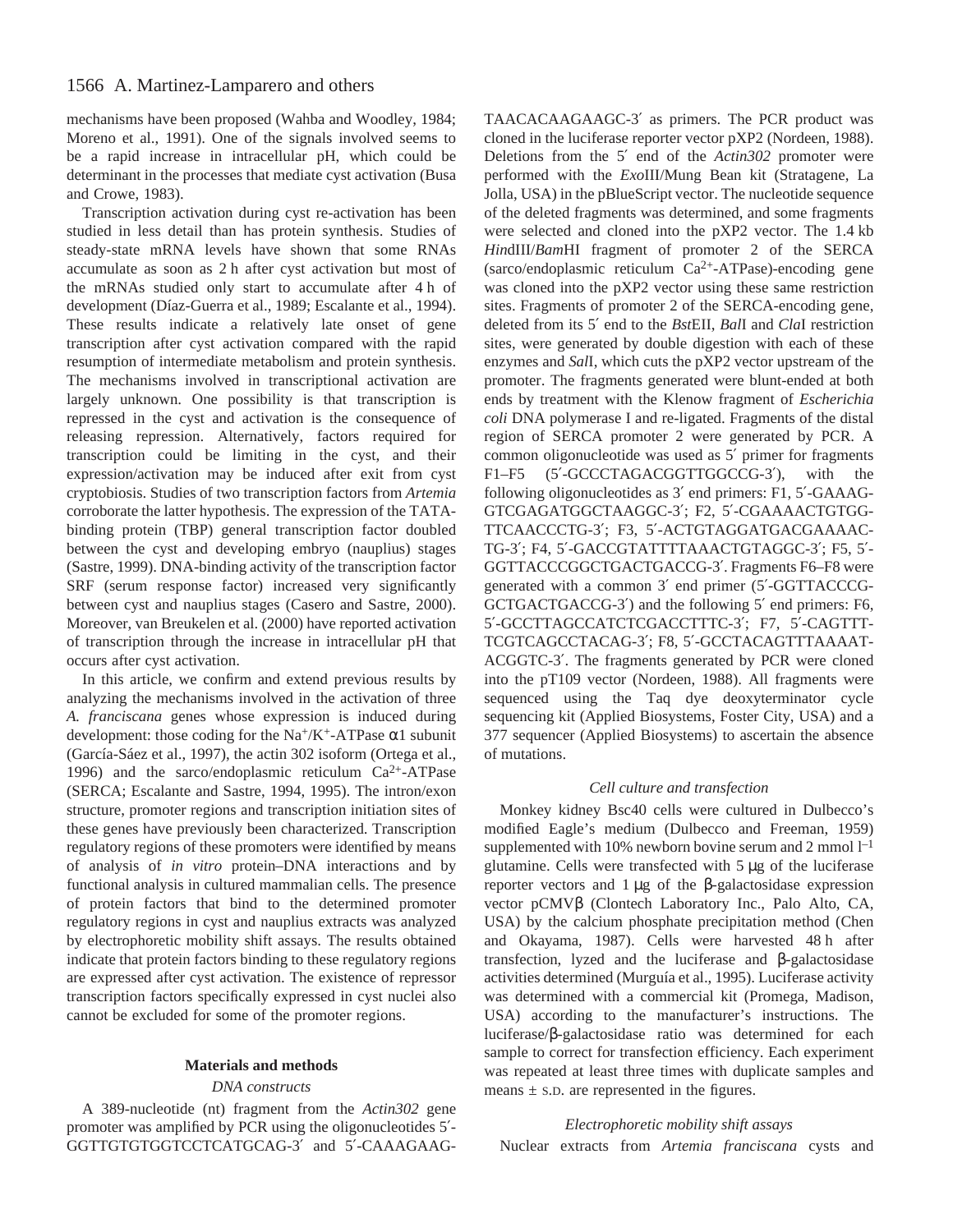# 1566 A. Martinez-Lamparero and others

mechanisms have been proposed (Wahba and Woodley, 1984; Moreno et al., 1991). One of the signals involved seems to be a rapid increase in intracellular pH, which could be determinant in the processes that mediate cyst activation (Busa and Crowe, 1983).

Transcription activation during cyst re-activation has been studied in less detail than has protein synthesis. Studies of steady-state mRNA levels have shown that some RNAs accumulate as soon as 2 h after cyst activation but most of the mRNAs studied only start to accumulate after 4 h of development (Díaz-Guerra et al., 1989; Escalante et al., 1994). These results indicate a relatively late onset of gene transcription after cyst activation compared with the rapid resumption of intermediate metabolism and protein synthesis. The mechanisms involved in transcriptional activation are largely unknown. One possibility is that transcription is repressed in the cyst and activation is the consequence of releasing repression. Alternatively, factors required for transcription could be limiting in the cyst, and their expression/activation may be induced after exit from cyst cryptobiosis. Studies of two transcription factors from *Artemia* corroborate the latter hypothesis. The expression of the TATAbinding protein (TBP) general transcription factor doubled between the cyst and developing embryo (nauplius) stages (Sastre, 1999). DNA-binding activity of the transcription factor SRF (serum response factor) increased very significantly between cyst and nauplius stages (Casero and Sastre, 2000). Moreover, van Breukelen et al. (2000) have reported activation of transcription through the increase in intracellular pH that occurs after cyst activation.

In this article, we confirm and extend previous results by analyzing the mechanisms involved in the activation of three *A. franciscana* genes whose expression is induced during development: those coding for the Na<sup>+</sup>/K<sup>+</sup>-ATPase  $\alpha$ 1 subunit (García-Sáez et al., 1997), the actin 302 isoform (Ortega et al., 1996) and the sarco/endoplasmic reticulum  $Ca^{2+}-ATP$ ase (SERCA; Escalante and Sastre, 1994, 1995). The intron/exon structure, promoter regions and transcription initiation sites of these genes have previously been characterized. Transcription regulatory regions of these promoters were identified by means of analysis of *in vitro* protein–DNA interactions and by functional analysis in cultured mammalian cells. The presence of protein factors that bind to the determined promoter regulatory regions in cyst and nauplius extracts was analyzed by electrophoretic mobility shift assays. The results obtained indicate that protein factors binding to these regulatory regions are expressed after cyst activation. The existence of repressor transcription factors specifically expressed in cyst nuclei also cannot be excluded for some of the promoter regions.

## **Materials and methods**

### *DNA constructs*

A 389-nucleotide (nt) fragment from the *Actin302* gene promoter was amplified by PCR using the oligonucleotides 5′- GGTTGTGTGGTCCTCATGCAG-3′ and 5′-CAAAGAAG-

TAACACAAGAAGC-3′ as primers. The PCR product was cloned in the luciferase reporter vector pXP2 (Nordeen, 1988). Deletions from the 5′ end of the *Actin302* promoter were performed with the *Exo*III/Mung Bean kit (Stratagene, La Jolla, USA) in the pBlueScript vector. The nucleotide sequence of the deleted fragments was determined, and some fragments were selected and cloned into the pXP2 vector. The 1.4 kb *Hin*dIII/*Bam*HI fragment of promoter 2 of the SERCA (sarco/endoplasmic reticulum Ca2+-ATPase)-encoding gene was cloned into the pXP2 vector using these same restriction sites. Fragments of promoter 2 of the SERCA-encoding gene, deleted from its 5′ end to the *Bst*EII, *Bal*I and *Cla*I restriction sites, were generated by double digestion with each of these enzymes and *Sal*I, which cuts the pXP2 vector upstream of the promoter. The fragments generated were blunt-ended at both ends by treatment with the Klenow fragment of *Escherichia coli* DNA polymerase I and re-ligated. Fragments of the distal region of SERCA promoter 2 were generated by PCR. A common oligonucleotide was used as 5′ primer for fragments F1–F5 (5′-GCCCTAGACGGTTGGCCG-3′), with the following oligonucleotides as 3′ end primers: F1, 5′-GAAAG-GTCGAGATGGCTAAGGC-3′; F2, 5′-CGAAAACTGTGG-TTCAACCCTG-3′; F3, 5′-ACTGTAGGATGACGAAAAC-TG-3′; F4, 5′-GACCGTATTTTAAACTGTAGGC-3′; F5, 5′- GGTTACCCGGCTGACTGACCG-3′. Fragments F6–F8 were generated with a common 3′ end primer (5′-GGTTACCCG-GCTGACTGACCG-3′) and the following 5′ end primers: F6, 5′-GCCTTAGCCATCTCGACCTTTC-3′; F7, 5′-CAGTTT-TCGTCAGCCTACAG-3′; F8, 5′-GCCTACAGTTTAAAAT-ACGGTC-3′. The fragments generated by PCR were cloned into the pT109 vector (Nordeen, 1988). All fragments were sequenced using the Taq dye deoxyterminator cycle sequencing kit (Applied Biosystems, Foster City, USA) and a 377 sequencer (Applied Biosystems) to ascertain the absence of mutations.

#### *Cell culture and transfection*

Monkey kidney Bsc40 cells were cultured in Dulbecco's modified Eagle's medium (Dulbecco and Freeman, 1959) supplemented with 10% newborn bovine serum and 2 mmol  $l^{-1}$ glutamine. Cells were transfected with  $5 \mu$ g of the luciferase reporter vectors and  $1\mu$ g of the β-galactosidase expression vector pCMVβ (Clontech Laboratory Inc., Palo Alto, CA, USA) by the calcium phosphate precipitation method (Chen and Okayama, 1987). Cells were harvested 48 h after transfection, lyzed and the luciferase and β-galactosidase activities determined (Murguía et al., 1995). Luciferase activity was determined with a commercial kit (Promega, Madison, USA) according to the manufacturer's instructions. The luciferase/β-galactosidase ratio was determined for each sample to correct for transfection efficiency. Each experiment was repeated at least three times with duplicate samples and means  $\pm$  s.D. are represented in the figures.

## *Electrophoretic mobility shift assays*

Nuclear extracts from *Artemia franciscana* cysts and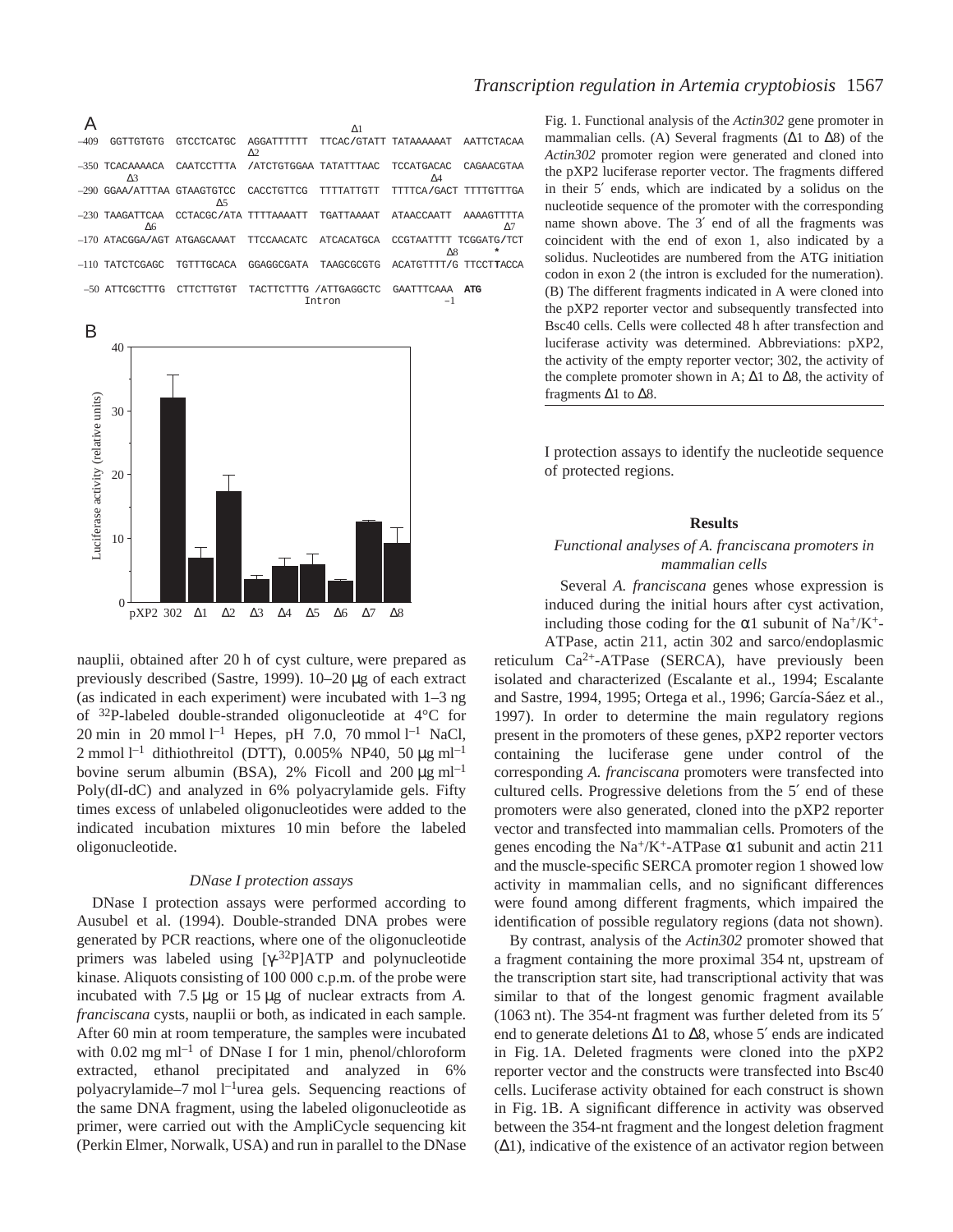A  $\Delta$ 1 –409 GGTTGTGTG GTCCTCATGC AGGATTTTTT TTCAC**/**GTATT TATAAAAAAT AATTCTACAA  $\Delta$ 2 –350 TCACAAAACA CAATCCTTTA **/**ATCTGTGGAA TATATTTAAC TCCATGACAC CAGAACGTAA  $\Delta$ 3  $\Delta$ 4 –290 GGAA**/**ATTTAA GTAAGTGTCC CACCTGTTCG TTTTATTGTT TTTTCA**/**GACT TTTTGTTTGA ∆5 –230 TAAGATTCAA CCTACGC**/**ATA TTTTAAAATT TGATTAAAAT ATAACCAATT AAAAGTTTTA  $\Delta$ 6  $\Delta$ 7 –170 ATACGGA**/**AGT ATGAGCAAAT TTCCAACATC ATCACATGCA CCGTAATTTT TCGGATG**/**TCT ∆8 **\*** –110 TATCTCGAGC TGTTTGCACA GGAGGCGATA TAAGCGCGTG ACATGTTTT**/**G TTCCT**T**ACCA –50 ATTCGCTTTG CTTCTTGTGT TACTTCTTTG /ATTGAGGCTC GAATTTCAAA **ATG**

Intron –1



nauplii, obtained after 20 h of cyst culture, were prepared as previously described (Sastre, 1999).  $10-20 \mu$ g of each extract (as indicated in each experiment) were incubated with  $1-3$  ng of 32P-labeled double-stranded oligonucleotide at 4°C for 20 min in 20 mmol<sup> $l$ –1</sup> Hepes, pH 7.0, 70 mmol<sup>1–1</sup> NaCl, 2 mmol<sup>1-1</sup> dithiothreitol (DTT), 0.005% NP40, 50  $\mu$ g ml<sup>-1</sup> bovine serum albumin (BSA), 2% Ficoll and 200  $\mu$ g ml<sup>-1</sup> Poly(dI-dC) and analyzed in 6% polyacrylamide gels. Fifty times excess of unlabeled oligonucleotides were added to the indicated incubation mixtures 10 min before the labeled oligonucleotide.

## *DNase I protection assays*

DNase I protection assays were performed according to Ausubel et al. (1994). Double-stranded DNA probes were generated by PCR reactions, where one of the oligonucleotide primers was labeled using  $[\gamma^{-32}P]ATP$  and polynucleotide kinase. Aliquots consisting of 100 000 c.p.m. of the probe were incubated with 7.5 µg or 15 µg of nuclear extracts from *A*. *franciscana* cysts, nauplii or both, as indicated in each sample. After 60 min at room temperature, the samples were incubated with  $0.02 \text{ mg ml}^{-1}$  of DNase I for 1 min, phenol/chloroform extracted, ethanol precipitated and analyzed in 6% polyacrylamide–7 mol l<sup>-1</sup>urea gels. Sequencing reactions of the same DNA fragment, using the labeled oligonucleotide as primer, were carried out with the AmpliCycle sequencing kit (Perkin Elmer, Norwalk, USA) and run in parallel to the DNase

## *Transcription regulation in Artemia cryptobiosis* 1567

Fig. 1. Functional analysis of the *Actin302* gene promoter in mammalian cells. (A) Several fragments ( $\Delta$ 1 to  $\Delta$ 8) of the *Actin302* promoter region were generated and cloned into the pXP2 luciferase reporter vector. The fragments differed in their 5′ ends, which are indicated by a solidus on the nucleotide sequence of the promoter with the corresponding name shown above. The 3′ end of all the fragments was coincident with the end of exon 1, also indicated by a solidus. Nucleotides are numbered from the ATG initiation codon in exon 2 (the intron is excluded for the numeration). (B) The different fragments indicated in A were cloned into the pXP2 reporter vector and subsequently transfected into Bsc40 cells. Cells were collected 48 h after transfection and luciferase activity was determined. Abbreviations: pXP2, the activity of the empty reporter vector; 302, the activity of the complete promoter shown in A;  $\Delta$ 1 to  $\Delta$ 8, the activity of fragments ∆1 to ∆8.

I protection assays to identify the nucleotide sequence of protected regions.

#### **Results**

## *Functional analyses of A. franciscana promoters in mammalian cells*

Several *A. franciscana* genes whose expression is induced during the initial hours after cyst activation, including those coding for the  $\alpha$ 1 subunit of Na<sup>+</sup>/K<sup>+</sup>-

ATPase, actin 211, actin 302 and sarco/endoplasmic reticulum  $Ca^{2+}$ -ATPase (SERCA), have previously been isolated and characterized (Escalante et al., 1994; Escalante and Sastre, 1994, 1995; Ortega et al., 1996; García-Sáez et al., 1997). In order to determine the main regulatory regions present in the promoters of these genes, pXP2 reporter vectors containing the luciferase gene under control of the corresponding *A. franciscana* promoters were transfected into cultured cells. Progressive deletions from the 5′ end of these promoters were also generated, cloned into the pXP2 reporter vector and transfected into mammalian cells. Promoters of the genes encoding the Na<sup>+</sup>/K<sup>+</sup>-ATPase  $\alpha$ 1 subunit and actin 211 and the muscle-specific SERCA promoter region 1 showed low activity in mammalian cells, and no significant differences were found among different fragments, which impaired the identification of possible regulatory regions (data not shown).

By contrast, analysis of the *Actin302* promoter showed that a fragment containing the more proximal 354 nt, upstream of the transcription start site, had transcriptional activity that was similar to that of the longest genomic fragment available (1063 nt). The  $354$ -nt fragment was further deleted from its  $5'$ end to generate deletions ∆1 to ∆8, whose 5′ ends are indicated in Fig. 1A. Deleted fragments were cloned into the pXP2 reporter vector and the constructs were transfected into Bsc40 cells. Luciferase activity obtained for each construct is shown in Fig. 1B. A significant difference in activity was observed between the 354-nt fragment and the longest deletion fragment (∆1), indicative of the existence of an activator region between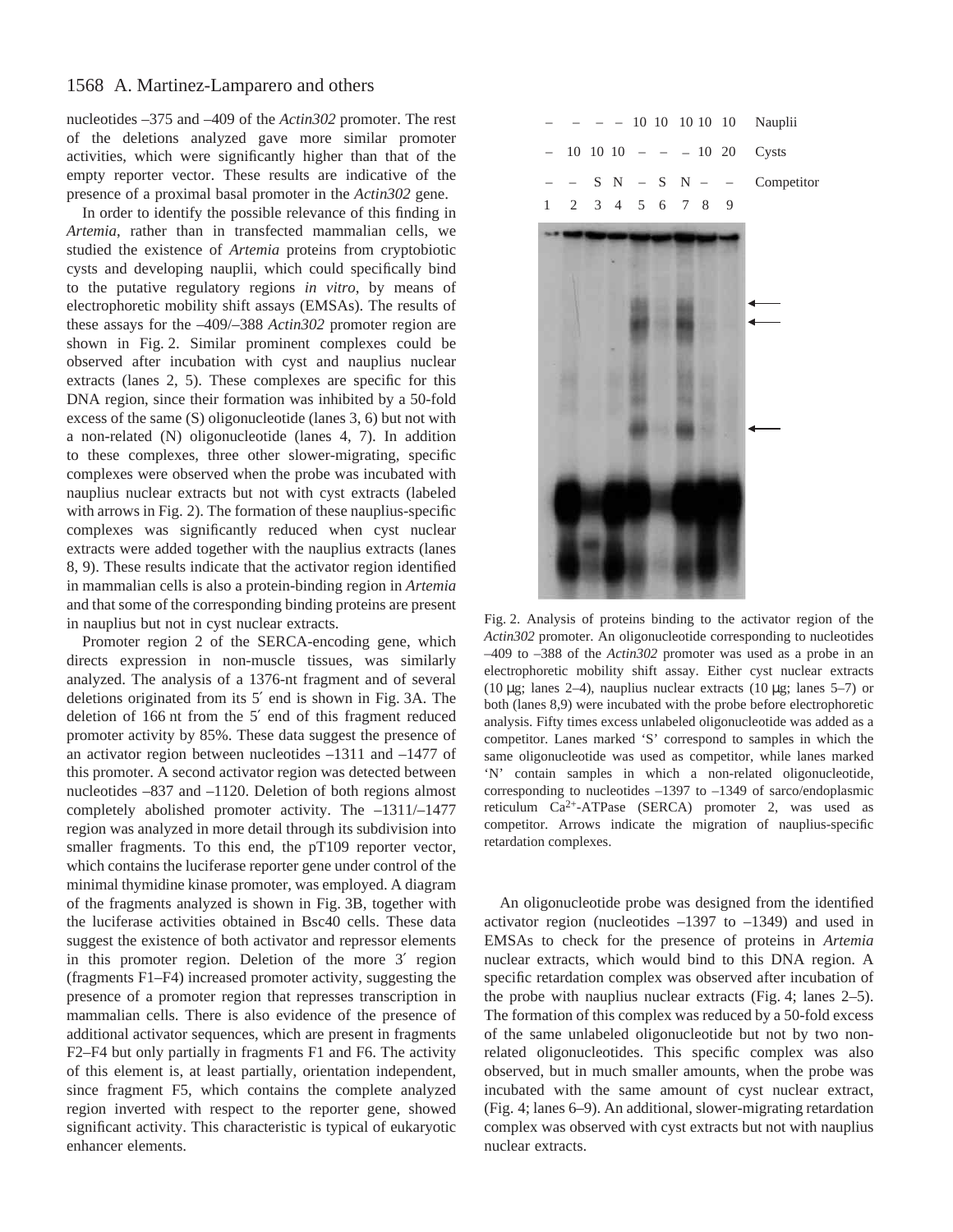# 1568 A. Martinez-Lamparero and others

nucleotides –375 and –409 of the *Actin302* promoter. The rest of the deletions analyzed gave more similar promoter activities, which were significantly higher than that of the empty reporter vector. These results are indicative of the presence of a proximal basal promoter in the *Actin302* gene.

In order to identify the possible relevance of this finding in *Artemia*, rather than in transfected mammalian cells, we studied the existence of *Artemia* proteins from cryptobiotic cysts and developing nauplii, which could specifically bind to the putative regulatory regions *in vitro*, by means of electrophoretic mobility shift assays (EMSAs). The results of these assays for the –409/–388 *Actin302* promoter region are shown in Fig. 2. Similar prominent complexes could be observed after incubation with cyst and nauplius nuclear extracts (lanes 2, 5). These complexes are specific for this DNA region, since their formation was inhibited by a 50-fold excess of the same (S) oligonucleotide (lanes 3, 6) but not with a non-related (N) oligonucleotide (lanes 4, 7). In addition to these complexes, three other slower-migrating, specific complexes were observed when the probe was incubated with nauplius nuclear extracts but not with cyst extracts (labeled with arrows in Fig. 2). The formation of these nauplius-specific complexes was significantly reduced when cyst nuclear extracts were added together with the nauplius extracts (lanes 8, 9). These results indicate that the activator region identified in mammalian cells is also a protein-binding region in *Artemia* and that some of the corresponding binding proteins are present in nauplius but not in cyst nuclear extracts.

Promoter region 2 of the SERCA-encoding gene, which directs expression in non-muscle tissues, was similarly analyzed. The analysis of a 1376-nt fragment and of several deletions originated from its 5' end is shown in Fig. 3A. The deletion of 166 nt from the 5' end of this fragment reduced promoter activity by 85%. These data suggest the presence of an activator region between nucleotides –1311 and –1477 of this promoter. A second activator region was detected between nucleotides –837 and –1120. Deletion of both regions almost completely abolished promoter activity. The –1311/–1477 region was analyzed in more detail through its subdivision into smaller fragments. To this end, the pT109 reporter vector, which contains the luciferase reporter gene under control of the minimal thymidine kinase promoter, was employed. A diagram of the fragments analyzed is shown in Fig. 3B, together with the luciferase activities obtained in Bsc40 cells. These data suggest the existence of both activator and repressor elements in this promoter region. Deletion of the more 3′ region (fragments F1–F4) increased promoter activity, suggesting the presence of a promoter region that represses transcription in mammalian cells. There is also evidence of the presence of additional activator sequences, which are present in fragments F2–F4 but only partially in fragments F1 and F6. The activity of this element is, at least partially, orientation independent, since fragment F5, which contains the complete analyzed region inverted with respect to the reporter gene, showed significant activity. This characteristic is typical of eukaryotic enhancer elements.



Fig. 2. Analysis of proteins binding to the activator region of the *Actin302* promoter. An oligonucleotide corresponding to nucleotides –409 to –388 of the *Actin302* promoter was used as a probe in an electrophoretic mobility shift assay. Either cyst nuclear extracts (10 µg; lanes 2–4), nauplius nuclear extracts (10 µg; lanes 5–7) or both (lanes 8,9) were incubated with the probe before electrophoretic analysis. Fifty times excess unlabeled oligonucleotide was added as a competitor. Lanes marked 'S' correspond to samples in which the same oligonucleotide was used as competitor, while lanes marked 'N' contain samples in which a non-related oligonucleotide, corresponding to nucleotides –1397 to –1349 of sarco/endoplasmic reticulum Ca2+-ATPase (SERCA) promoter 2, was used as competitor. Arrows indicate the migration of nauplius-specific retardation complexes.

An oligonucleotide probe was designed from the identified activator region (nucleotides –1397 to –1349) and used in EMSAs to check for the presence of proteins in *Artemia* nuclear extracts, which would bind to this DNA region. A specific retardation complex was observed after incubation of the probe with nauplius nuclear extracts (Fig. 4; lanes  $2-5$ ). The formation of this complex was reduced by a 50-fold excess of the same unlabeled oligonucleotide but not by two nonrelated oligonucleotides. This specific complex was also observed, but in much smaller amounts, when the probe was incubated with the same amount of cyst nuclear extract, (Fig. 4; lanes 6–9). An additional, slower-migrating retardation complex was observed with cyst extracts but not with nauplius nuclear extracts.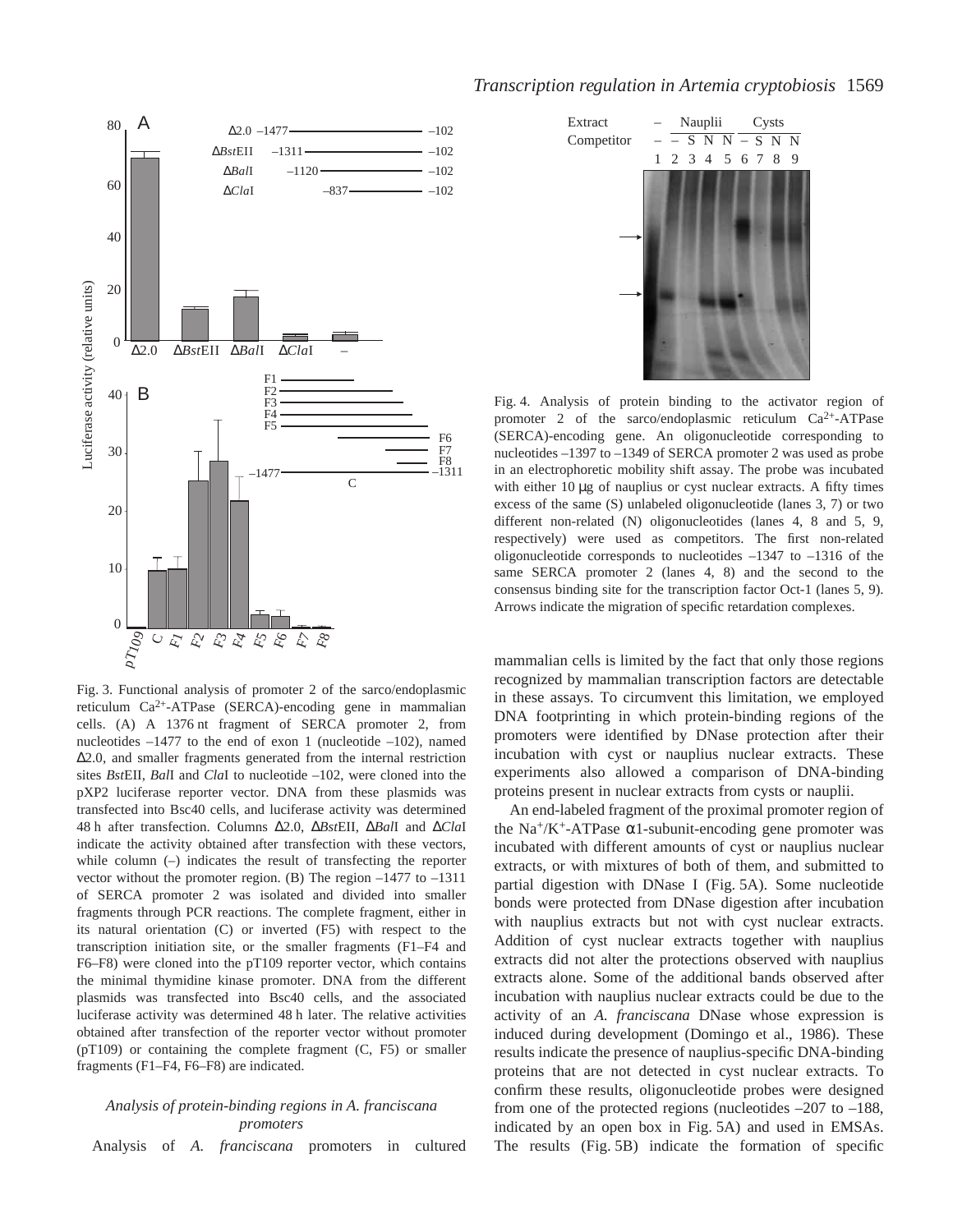

Fig. 3. Functional analysis of promoter 2 of the sarco/endoplasmic reticulum Ca2+-ATPase (SERCA)-encoding gene in mammalian cells. (A) A 1376 nt fragment of SERCA promoter 2, from nucleotides  $-1477$  to the end of exon 1 (nucleotide  $-102$ ), named ∆2.0, and smaller fragments generated from the internal restriction sites *Bst*EII, *Bal*I and *Cla*I to nucleotide –102, were cloned into the pXP2 luciferase reporter vector. DNA from these plasmids was transfected into Bsc40 cells, and luciferase activity was determined 48·h after transfection. Columns ∆2.0, ∆*Bst*EII, ∆*Bal*I and ∆*Cla*I indicate the activity obtained after transfection with these vectors, while column (–) indicates the result of transfecting the reporter vector without the promoter region. (B) The region –1477 to –1311 of SERCA promoter 2 was isolated and divided into smaller fragments through PCR reactions. The complete fragment, either in its natural orientation (C) or inverted (F5) with respect to the transcription initiation site, or the smaller fragments (F1–F4 and F6–F8) were cloned into the pT109 reporter vector, which contains the minimal thymidine kinase promoter. DNA from the different plasmids was transfected into Bsc40 cells, and the associated luciferase activity was determined 48 h later. The relative activities obtained after transfection of the reporter vector without promoter (pT109) or containing the complete fragment (C, F5) or smaller fragments (F1–F4, F6–F8) are indicated.

## *Analysis of protein-binding regions in A. franciscana promoters*

Analysis of *A. franciscana* promoters in cultured

### *Transcription regulation in Artemia cryptobiosis* 1569



Fig. 4. Analysis of protein binding to the activator region of promoter 2 of the sarco/endoplasmic reticulum  $Ca^{2+}-ATP$ ase (SERCA)-encoding gene. An oligonucleotide corresponding to nucleotides –1397 to –1349 of SERCA promoter 2 was used as probe in an electrophoretic mobility shift assay. The probe was incubated with either  $10 \mu$ g of nauplius or cyst nuclear extracts. A fifty times excess of the same (S) unlabeled oligonucleotide (lanes 3, 7) or two different non-related (N) oligonucleotides (lanes 4, 8 and 5, 9, respectively) were used as competitors. The first non-related oligonucleotide corresponds to nucleotides –1347 to –1316 of the same SERCA promoter 2 (lanes 4, 8) and the second to the consensus binding site for the transcription factor Oct-1 (lanes 5, 9). Arrows indicate the migration of specific retardation complexes.

mammalian cells is limited by the fact that only those regions recognized by mammalian transcription factors are detectable in these assays. To circumvent this limitation, we employed DNA footprinting in which protein-binding regions of the promoters were identified by DNase protection after their incubation with cyst or nauplius nuclear extracts. These experiments also allowed a comparison of DNA-binding proteins present in nuclear extracts from cysts or nauplii.

An end-labeled fragment of the proximal promoter region of the Na<sup>+</sup>/K<sup>+</sup>-ATPase  $\alpha$ 1-subunit-encoding gene promoter was incubated with different amounts of cyst or nauplius nuclear extracts, or with mixtures of both of them, and submitted to partial digestion with DNase I (Fig. 5A). Some nucleotide bonds were protected from DNase digestion after incubation with nauplius extracts but not with cyst nuclear extracts. Addition of cyst nuclear extracts together with nauplius extracts did not alter the protections observed with nauplius extracts alone. Some of the additional bands observed after incubation with nauplius nuclear extracts could be due to the activity of an *A. franciscana* DNase whose expression is induced during development (Domingo et al., 1986). These results indicate the presence of nauplius-specific DNA-binding proteins that are not detected in cyst nuclear extracts. To confirm these results, oligonucleotide probes were designed from one of the protected regions (nucleotides –207 to –188, indicated by an open box in Fig. 5A) and used in EMSAs. The results (Fig. 5B) indicate the formation of specific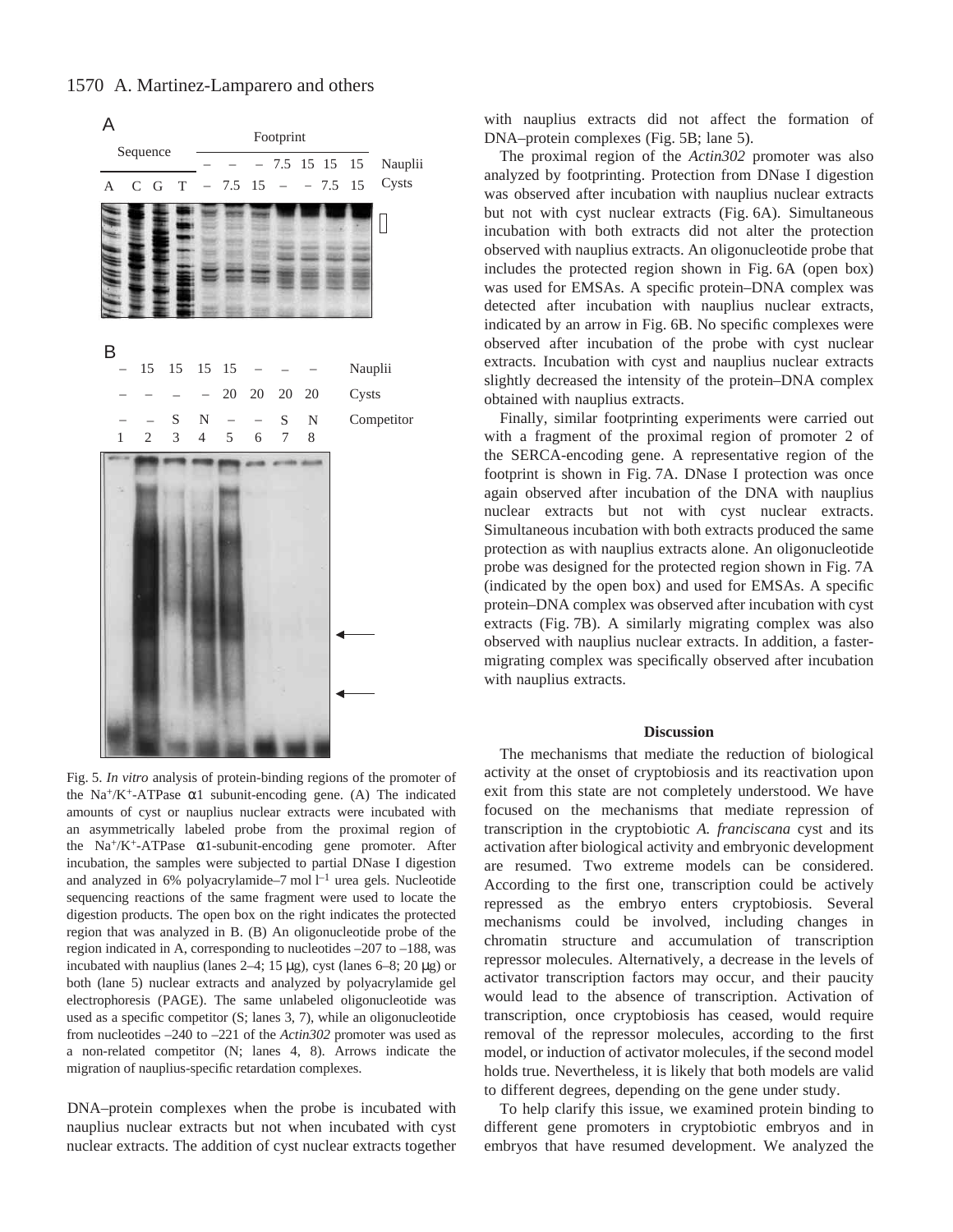

Fig. 5. *In vitro* analysis of protein-binding regions of the promoter of the Na<sup>+</sup>/K<sup>+</sup>-ATPase  $\alpha$ 1 subunit-encoding gene. (A) The indicated amounts of cyst or nauplius nuclear extracts were incubated with an asymmetrically labeled probe from the proximal region of the  $Na^{+}/K^{+}$ -ATPase  $\alpha$ 1-subunit-encoding gene promoter. After incubation, the samples were subjected to partial DNase I digestion and analyzed in 6% polyacrylamide-7 mol  $l^{-1}$  urea gels. Nucleotide sequencing reactions of the same fragment were used to locate the digestion products. The open box on the right indicates the protected region that was analyzed in B. (B) An oligonucleotide probe of the region indicated in A, corresponding to nucleotides –207 to –188, was incubated with nauplius (lanes  $2-4$ ; 15 µg), cyst (lanes 6–8; 20 µg) or both (lane 5) nuclear extracts and analyzed by polyacrylamide gel electrophoresis (PAGE). The same unlabeled oligonucleotide was used as a specific competitor (S; lanes 3, 7), while an oligonucleotide from nucleotides –240 to –221 of the *Actin302* promoter was used as a non-related competitor (N; lanes 4, 8). Arrows indicate the migration of nauplius-specific retardation complexes.

DNA–protein complexes when the probe is incubated with nauplius nuclear extracts but not when incubated with cyst nuclear extracts. The addition of cyst nuclear extracts together with nauplius extracts did not affect the formation of DNA–protein complexes (Fig. 5B; lane 5).

The proximal region of the *Actin302* promoter was also analyzed by footprinting. Protection from DNase I digestion was observed after incubation with nauplius nuclear extracts but not with cyst nuclear extracts (Fig. 6A). Simultaneous incubation with both extracts did not alter the protection observed with nauplius extracts. An oligonucleotide probe that includes the protected region shown in Fig. 6A (open box) was used for EMSAs. A specific protein–DNA complex was detected after incubation with nauplius nuclear extracts, indicated by an arrow in Fig. 6B. No specific complexes were observed after incubation of the probe with cyst nuclear extracts. Incubation with cyst and nauplius nuclear extracts slightly decreased the intensity of the protein–DNA complex obtained with nauplius extracts.

Finally, similar footprinting experiments were carried out with a fragment of the proximal region of promoter 2 of the SERCA-encoding gene. A representative region of the footprint is shown in Fig. 7A. DNase I protection was once again observed after incubation of the DNA with nauplius nuclear extracts but not with cyst nuclear extracts. Simultaneous incubation with both extracts produced the same protection as with nauplius extracts alone. An oligonucleotide probe was designed for the protected region shown in Fig. 7A (indicated by the open box) and used for EMSAs. A specific protein–DNA complex was observed after incubation with cyst extracts (Fig. 7B). A similarly migrating complex was also observed with nauplius nuclear extracts. In addition, a fastermigrating complex was specifically observed after incubation with nauplius extracts.

#### **Discussion**

The mechanisms that mediate the reduction of biological activity at the onset of cryptobiosis and its reactivation upon exit from this state are not completely understood. We have focused on the mechanisms that mediate repression of transcription in the cryptobiotic *A. franciscana* cyst and its activation after biological activity and embryonic development are resumed. Two extreme models can be considered. According to the first one, transcription could be actively repressed as the embryo enters cryptobiosis. Several mechanisms could be involved, including changes in chromatin structure and accumulation of transcription repressor molecules. Alternatively, a decrease in the levels of activator transcription factors may occur, and their paucity would lead to the absence of transcription. Activation of transcription, once cryptobiosis has ceased, would require removal of the repressor molecules, according to the first model, or induction of activator molecules, if the second model holds true. Nevertheless, it is likely that both models are valid to different degrees, depending on the gene under study.

To help clarify this issue, we examined protein binding to different gene promoters in cryptobiotic embryos and in embryos that have resumed development. We analyzed the

1570 A. Martinez-Lamparero and others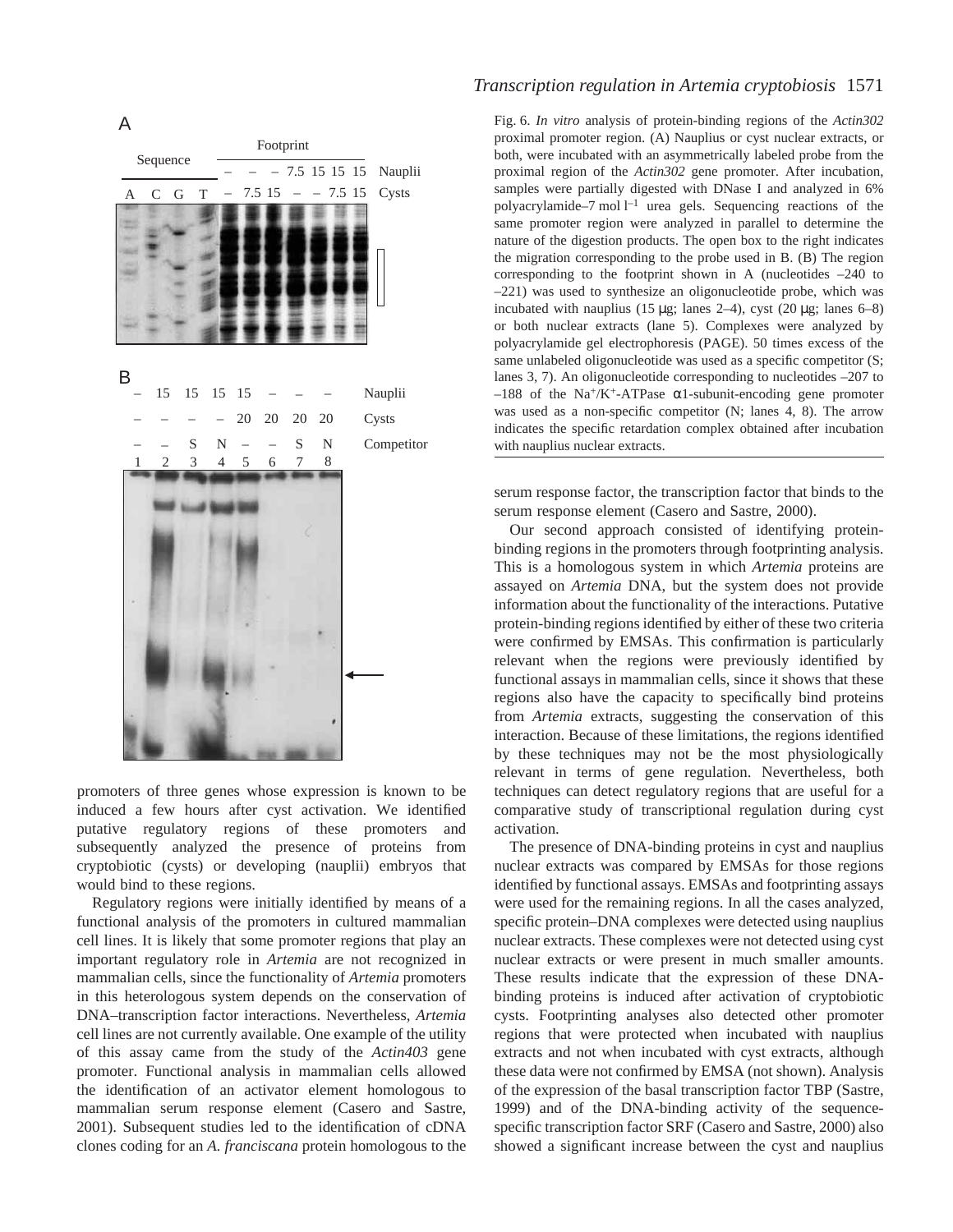



promoters of three genes whose expression is known to be induced a few hours after cyst activation. We identified putative regulatory regions of these promoters and subsequently analyzed the presence of proteins from cryptobiotic (cysts) or developing (nauplii) embryos that would bind to these regions.

Regulatory regions were initially identified by means of a functional analysis of the promoters in cultured mammalian cell lines. It is likely that some promoter regions that play an important regulatory role in *Artemia* are not recognized in mammalian cells, since the functionality of *Artemia* promoters in this heterologous system depends on the conservation of DNA–transcription factor interactions. Nevertheless, *Artemia* cell lines are not currently available. One example of the utility of this assay came from the study of the *Actin403* gene promoter. Functional analysis in mammalian cells allowed the identification of an activator element homologous to mammalian serum response element (Casero and Sastre, 2001). Subsequent studies led to the identification of cDNA clones coding for an *A. franciscana* protein homologous to the

## *Transcription regulation in Artemia cryptobiosis* 1571

Fig. 6. *In vitro* analysis of protein-binding regions of the *Actin302* proximal promoter region. (A) Nauplius or cyst nuclear extracts, or both, were incubated with an asymmetrically labeled probe from the proximal region of the *Actin302* gene promoter. After incubation, samples were partially digested with DNase I and analyzed in 6% polyacrylamide–7 mol  $l^{-1}$  urea gels. Sequencing reactions of the same promoter region were analyzed in parallel to determine the nature of the digestion products. The open box to the right indicates the migration corresponding to the probe used in B. (B) The region corresponding to the footprint shown in A (nucleotides –240 to –221) was used to synthesize an oligonucleotide probe, which was incubated with nauplius (15  $\mu$ g; lanes 2–4), cyst (20  $\mu$ g; lanes 6–8) or both nuclear extracts (lane 5). Complexes were analyzed by polyacrylamide gel electrophoresis (PAGE). 50 times excess of the same unlabeled oligonucleotide was used as a specific competitor (S; lanes 3, 7). An oligonucleotide corresponding to nucleotides –207 to  $-188$  of the Na<sup>+</sup>/K<sup>+</sup>-ATPase  $\alpha$ 1-subunit-encoding gene promoter was used as a non-specific competitor (N; lanes 4, 8). The arrow indicates the specific retardation complex obtained after incubation with nauplius nuclear extracts.

serum response factor, the transcription factor that binds to the serum response element (Casero and Sastre, 2000).

Our second approach consisted of identifying proteinbinding regions in the promoters through footprinting analysis. This is a homologous system in which *Artemia* proteins are assayed on *Artemia* DNA, but the system does not provide information about the functionality of the interactions. Putative protein-binding regions identified by either of these two criteria were confirmed by EMSAs. This confirmation is particularly relevant when the regions were previously identified by functional assays in mammalian cells, since it shows that these regions also have the capacity to specifically bind proteins from *Artemia* extracts, suggesting the conservation of this interaction. Because of these limitations, the regions identified by these techniques may not be the most physiologically relevant in terms of gene regulation. Nevertheless, both techniques can detect regulatory regions that are useful for a comparative study of transcriptional regulation during cyst activation.

The presence of DNA-binding proteins in cyst and nauplius nuclear extracts was compared by EMSAs for those regions identified by functional assays. EMSAs and footprinting assays were used for the remaining regions. In all the cases analyzed, specific protein–DNA complexes were detected using nauplius nuclear extracts. These complexes were not detected using cyst nuclear extracts or were present in much smaller amounts. These results indicate that the expression of these DNAbinding proteins is induced after activation of cryptobiotic cysts. Footprinting analyses also detected other promoter regions that were protected when incubated with nauplius extracts and not when incubated with cyst extracts, although these data were not confirmed by EMSA (not shown). Analysis of the expression of the basal transcription factor TBP (Sastre, 1999) and of the DNA-binding activity of the sequencespecific transcription factor SRF (Casero and Sastre, 2000) also showed a significant increase between the cyst and nauplius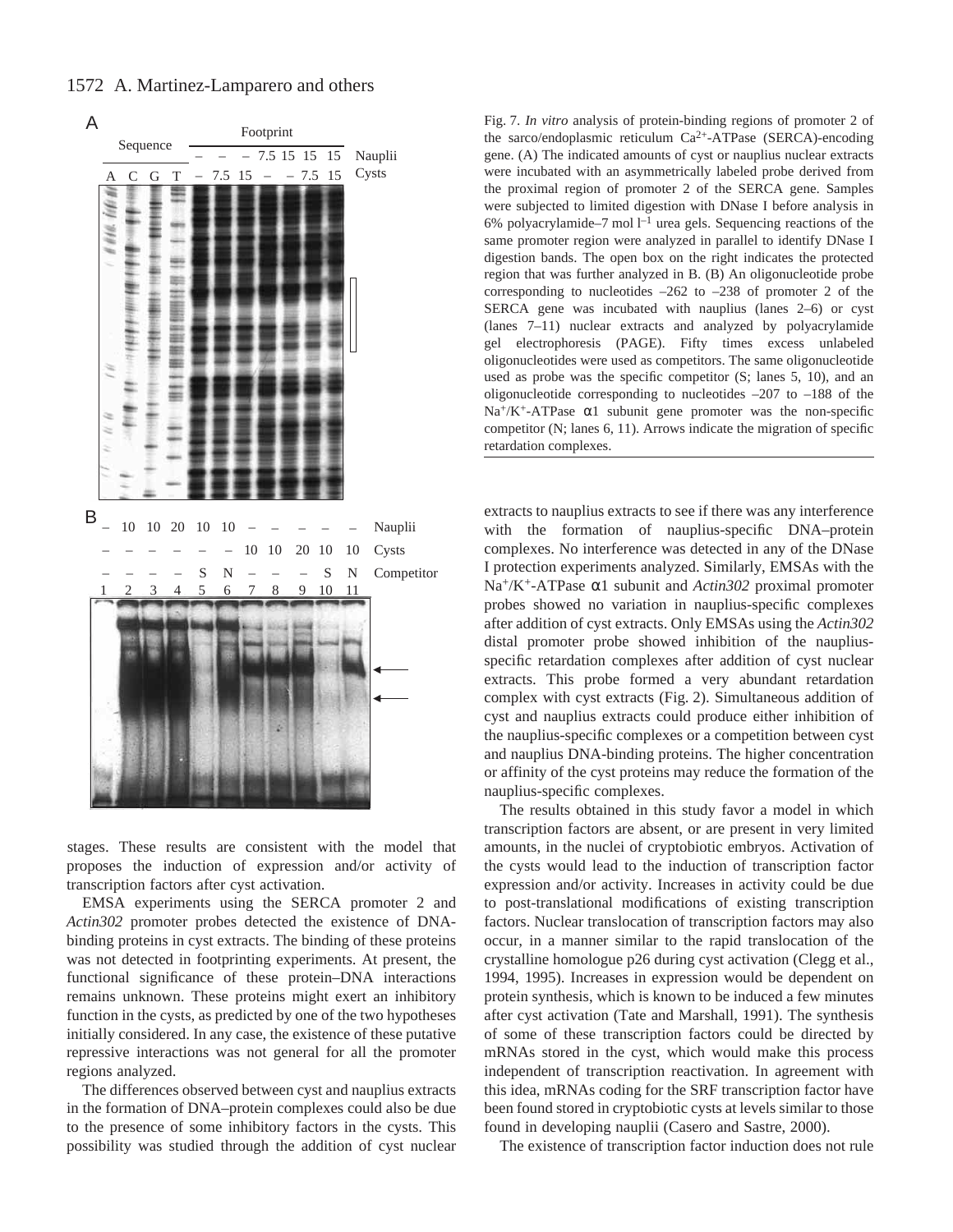1572 A. Martinez-Lamparero and others



stages. These results are consistent with the model that proposes the induction of expression and/or activity of transcription factors after cyst activation.

EMSA experiments using the SERCA promoter 2 and *Actin302* promoter probes detected the existence of DNAbinding proteins in cyst extracts. The binding of these proteins was not detected in footprinting experiments. At present, the functional significance of these protein–DNA interactions remains unknown. These proteins might exert an inhibitory function in the cysts, as predicted by one of the two hypotheses initially considered. In any case, the existence of these putative repressive interactions was not general for all the promoter regions analyzed.

The differences observed between cyst and nauplius extracts in the formation of DNA–protein complexes could also be due to the presence of some inhibitory factors in the cysts. This possibility was studied through the addition of cyst nuclear Fig. 7. *In vitro* analysis of protein-binding regions of promoter 2 of the sarco/endoplasmic reticulum Ca2+-ATPase (SERCA)-encoding gene. (A) The indicated amounts of cyst or nauplius nuclear extracts were incubated with an asymmetrically labeled probe derived from the proximal region of promoter 2 of the SERCA gene. Samples were subjected to limited digestion with DNase I before analysis in 6% polyacrylamide–7 mol  $l^{-1}$  urea gels. Sequencing reactions of the same promoter region were analyzed in parallel to identify DNase I digestion bands. The open box on the right indicates the protected region that was further analyzed in B. (B) An oligonucleotide probe corresponding to nucleotides –262 to –238 of promoter 2 of the SERCA gene was incubated with nauplius (lanes 2–6) or cyst (lanes 7–11) nuclear extracts and analyzed by polyacrylamide gel electrophoresis (PAGE). Fifty times excess unlabeled oligonucleotides were used as competitors. The same oligonucleotide used as probe was the specific competitor (S; lanes 5, 10), and an oligonucleotide corresponding to nucleotides –207 to –188 of the  $Na^{+}/K^{+}$ -ATPase  $\alpha$ 1 subunit gene promoter was the non-specific competitor (N; lanes 6, 11). Arrows indicate the migration of specific retardation complexes.

extracts to nauplius extracts to see if there was any interference with the formation of nauplius-specific DNA–protein complexes. No interference was detected in any of the DNase I protection experiments analyzed. Similarly, EMSAs with the Na+/K+-ATPase α1 subunit and *Actin302* proximal promoter probes showed no variation in nauplius-specific complexes after addition of cyst extracts. Only EMSAs using the *Actin302* distal promoter probe showed inhibition of the naupliusspecific retardation complexes after addition of cyst nuclear extracts. This probe formed a very abundant retardation complex with cyst extracts (Fig. 2). Simultaneous addition of cyst and nauplius extracts could produce either inhibition of the nauplius-specific complexes or a competition between cyst and nauplius DNA-binding proteins. The higher concentration or affinity of the cyst proteins may reduce the formation of the nauplius-specific complexes.

The results obtained in this study favor a model in which transcription factors are absent, or are present in very limited amounts, in the nuclei of cryptobiotic embryos. Activation of the cysts would lead to the induction of transcription factor expression and/or activity. Increases in activity could be due to post-translational modifications of existing transcription factors. Nuclear translocation of transcription factors may also occur, in a manner similar to the rapid translocation of the crystalline homologue p26 during cyst activation (Clegg et al., 1994, 1995). Increases in expression would be dependent on protein synthesis, which is known to be induced a few minutes after cyst activation (Tate and Marshall, 1991). The synthesis of some of these transcription factors could be directed by mRNAs stored in the cyst, which would make this process independent of transcription reactivation. In agreement with this idea, mRNAs coding for the SRF transcription factor have been found stored in cryptobiotic cysts at levels similar to those found in developing nauplii (Casero and Sastre, 2000).

The existence of transcription factor induction does not rule